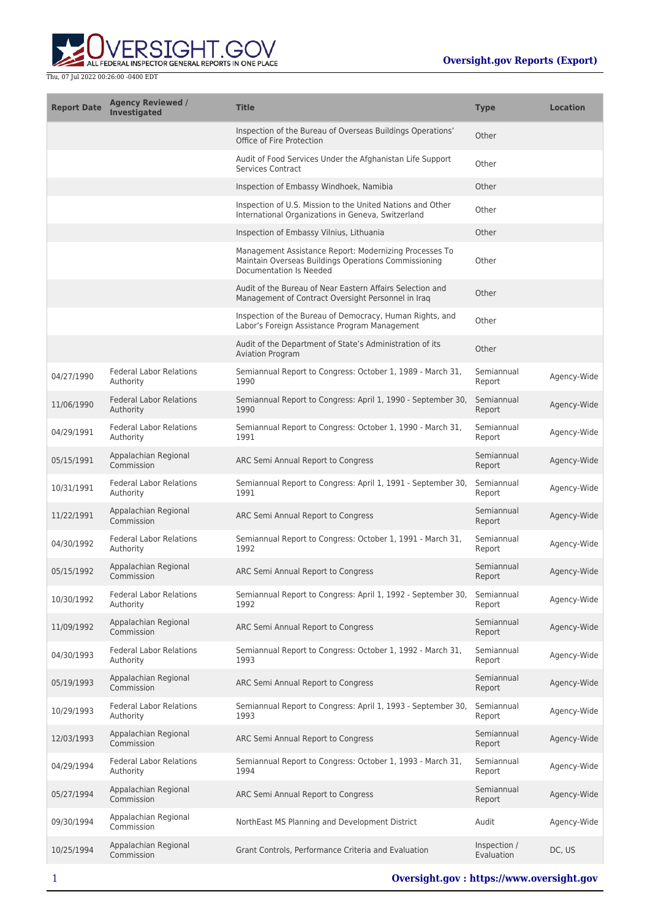

| <b>Report Date</b> | <b>Agency Reviewed /</b><br><b>Investigated</b> | <b>Title</b>                                                                                                                              | <b>Type</b>                | <b>Location</b> |
|--------------------|-------------------------------------------------|-------------------------------------------------------------------------------------------------------------------------------------------|----------------------------|-----------------|
|                    |                                                 | Inspection of the Bureau of Overseas Buildings Operations'<br>Office of Fire Protection                                                   | Other                      |                 |
|                    |                                                 | Audit of Food Services Under the Afghanistan Life Support<br><b>Services Contract</b>                                                     | Other                      |                 |
|                    |                                                 | Inspection of Embassy Windhoek, Namibia                                                                                                   | Other                      |                 |
|                    |                                                 | Inspection of U.S. Mission to the United Nations and Other<br>International Organizations in Geneva, Switzerland                          | Other                      |                 |
|                    |                                                 | Inspection of Embassy Vilnius, Lithuania                                                                                                  | Other                      |                 |
|                    |                                                 | Management Assistance Report: Modernizing Processes To<br>Maintain Overseas Buildings Operations Commissioning<br>Documentation Is Needed | Other                      |                 |
|                    |                                                 | Audit of the Bureau of Near Eastern Affairs Selection and<br>Management of Contract Oversight Personnel in Iraq                           | Other                      |                 |
|                    |                                                 | Inspection of the Bureau of Democracy, Human Rights, and<br>Labor's Foreign Assistance Program Management                                 | Other                      |                 |
|                    |                                                 | Audit of the Department of State's Administration of its<br><b>Aviation Program</b>                                                       | Other                      |                 |
| 04/27/1990         | <b>Federal Labor Relations</b><br>Authority     | Semiannual Report to Congress: October 1, 1989 - March 31,<br>1990                                                                        | Semiannual<br>Report       | Agency-Wide     |
| 11/06/1990         | <b>Federal Labor Relations</b><br>Authority     | Semiannual Report to Congress: April 1, 1990 - September 30,<br>1990                                                                      | Semiannual<br>Report       | Agency-Wide     |
| 04/29/1991         | <b>Federal Labor Relations</b><br>Authority     | Semiannual Report to Congress: October 1, 1990 - March 31,<br>1991                                                                        | Semiannual<br>Report       | Agency-Wide     |
| 05/15/1991         | Appalachian Regional<br>Commission              | ARC Semi Annual Report to Congress                                                                                                        | Semiannual<br>Report       | Agency-Wide     |
| 10/31/1991         | <b>Federal Labor Relations</b><br>Authority     | Semiannual Report to Congress: April 1, 1991 - September 30,<br>1991                                                                      | Semiannual<br>Report       | Agency-Wide     |
| 11/22/1991         | Appalachian Regional<br>Commission              | ARC Semi Annual Report to Congress                                                                                                        | Semiannual<br>Report       | Agency-Wide     |
| 04/30/1992         | <b>Federal Labor Relations</b><br>Authority     | Semiannual Report to Congress: October 1, 1991 - March 31,<br>1992                                                                        | Semiannual<br>Report       | Agency-Wide     |
| 05/15/1992         | Appalachian Regional<br>Commission              | ARC Semi Annual Report to Congress                                                                                                        | Semiannual<br>Report       | Agency-Wide     |
| 10/30/1992         | <b>Federal Labor Relations</b><br>Authority     | Semiannual Report to Congress: April 1, 1992 - September 30,<br>1992                                                                      | Semiannual<br>Report       | Agency-Wide     |
| 11/09/1992         | Appalachian Regional<br>Commission              | ARC Semi Annual Report to Congress                                                                                                        | Semiannual<br>Report       | Agency-Wide     |
| 04/30/1993         | <b>Federal Labor Relations</b><br>Authority     | Semiannual Report to Congress: October 1, 1992 - March 31,<br>1993                                                                        | Semiannual<br>Report       | Agency-Wide     |
| 05/19/1993         | Appalachian Regional<br>Commission              | ARC Semi Annual Report to Congress                                                                                                        | Semiannual<br>Report       | Agency-Wide     |
| 10/29/1993         | <b>Federal Labor Relations</b><br>Authority     | Semiannual Report to Congress: April 1, 1993 - September 30,<br>1993                                                                      | Semiannual<br>Report       | Agency-Wide     |
| 12/03/1993         | Appalachian Regional<br>Commission              | ARC Semi Annual Report to Congress                                                                                                        | Semiannual<br>Report       | Agency-Wide     |
| 04/29/1994         | <b>Federal Labor Relations</b><br>Authority     | Semiannual Report to Congress: October 1, 1993 - March 31,<br>1994                                                                        | Semiannual<br>Report       | Agency-Wide     |
| 05/27/1994         | Appalachian Regional<br>Commission              | ARC Semi Annual Report to Congress                                                                                                        | Semiannual<br>Report       | Agency-Wide     |
| 09/30/1994         | Appalachian Regional<br>Commission              | NorthEast MS Planning and Development District                                                                                            | Audit                      | Agency-Wide     |
| 10/25/1994         | Appalachian Regional<br>Commission              | Grant Controls, Performance Criteria and Evaluation                                                                                       | Inspection /<br>Evaluation | DC, US          |
|                    |                                                 |                                                                                                                                           |                            |                 |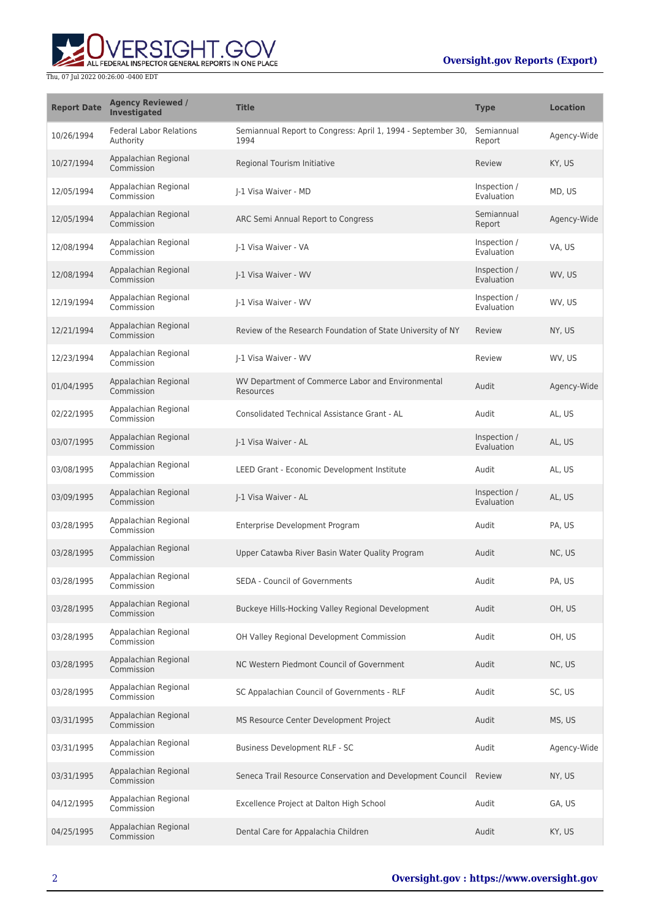## **Oversight.gov Reports (Export)**



| <b>Report Date</b> | <b>Agency Reviewed /</b><br><b>Investigated</b> | <b>Title</b>                                                         | <b>Type</b>                | <b>Location</b> |
|--------------------|-------------------------------------------------|----------------------------------------------------------------------|----------------------------|-----------------|
| 10/26/1994         | <b>Federal Labor Relations</b><br>Authority     | Semiannual Report to Congress: April 1, 1994 - September 30,<br>1994 | Semiannual<br>Report       | Agency-Wide     |
| 10/27/1994         | Appalachian Regional<br>Commission              | Regional Tourism Initiative                                          | Review                     | KY, US          |
| 12/05/1994         | Appalachian Regional<br>Commission              | I-1 Visa Waiver - MD                                                 | Inspection /<br>Evaluation | MD, US          |
| 12/05/1994         | Appalachian Regional<br>Commission              | ARC Semi Annual Report to Congress                                   | Semiannual<br>Report       | Agency-Wide     |
| 12/08/1994         | Appalachian Regional<br>Commission              | I-1 Visa Waiver - VA                                                 | Inspection /<br>Evaluation | VA, US          |
| 12/08/1994         | Appalachian Regional<br>Commission              | I-1 Visa Waiver - WV                                                 | Inspection /<br>Evaluation | WV, US          |
| 12/19/1994         | Appalachian Regional<br>Commission              | I-1 Visa Waiver - WV                                                 | Inspection /<br>Evaluation | WV, US          |
| 12/21/1994         | Appalachian Regional<br>Commission              | Review of the Research Foundation of State University of NY          | Review                     | NY, US          |
| 12/23/1994         | Appalachian Regional<br>Commission              | J-1 Visa Waiver - WV                                                 | Review                     | WV, US          |
| 01/04/1995         | Appalachian Regional<br>Commission              | WV Department of Commerce Labor and Environmental<br>Resources       | Audit                      | Agency-Wide     |
| 02/22/1995         | Appalachian Regional<br>Commission              | Consolidated Technical Assistance Grant - AL                         | Audit                      | AL, US          |
| 03/07/1995         | Appalachian Regional<br>Commission              | J-1 Visa Waiver - AL                                                 | Inspection /<br>Evaluation | AL, US          |
| 03/08/1995         | Appalachian Regional<br>Commission              | LEED Grant - Economic Development Institute                          | Audit                      | AL, US          |
| 03/09/1995         | Appalachian Regional<br>Commission              | I-1 Visa Waiver - AL                                                 | Inspection /<br>Evaluation | AL, US          |
| 03/28/1995         | Appalachian Regional<br>Commission              | Enterprise Development Program                                       | Audit                      | PA, US          |
| 03/28/1995         | Appalachian Regional<br>Commission              | Upper Catawba River Basin Water Quality Program                      | Audit                      | NC, US          |
| 03/28/1995         | Appalachian Regional<br>Commission              | <b>SEDA - Council of Governments</b>                                 | Audit                      | PA, US          |
| 03/28/1995         | Appalachian Regional<br>Commission              | Buckeye Hills-Hocking Valley Regional Development                    | Audit                      | OH, US          |
| 03/28/1995         | Appalachian Regional<br>Commission              | OH Valley Regional Development Commission                            | Audit                      | OH, US          |
| 03/28/1995         | Appalachian Regional<br>Commission              | NC Western Piedmont Council of Government                            | Audit                      | NC, US          |
| 03/28/1995         | Appalachian Regional<br>Commission              | SC Appalachian Council of Governments - RLF                          | Audit                      | SC, US          |
| 03/31/1995         | Appalachian Regional<br>Commission              | MS Resource Center Development Project                               | Audit                      | MS, US          |
| 03/31/1995         | Appalachian Regional<br>Commission              | Business Development RLF - SC                                        | Audit                      | Agency-Wide     |
| 03/31/1995         | Appalachian Regional<br>Commission              | Seneca Trail Resource Conservation and Development Council           | Review                     | NY, US          |
| 04/12/1995         | Appalachian Regional<br>Commission              | Excellence Project at Dalton High School                             | Audit                      | GA, US          |
| 04/25/1995         | Appalachian Regional<br>Commission              | Dental Care for Appalachia Children                                  | Audit                      | KY, US          |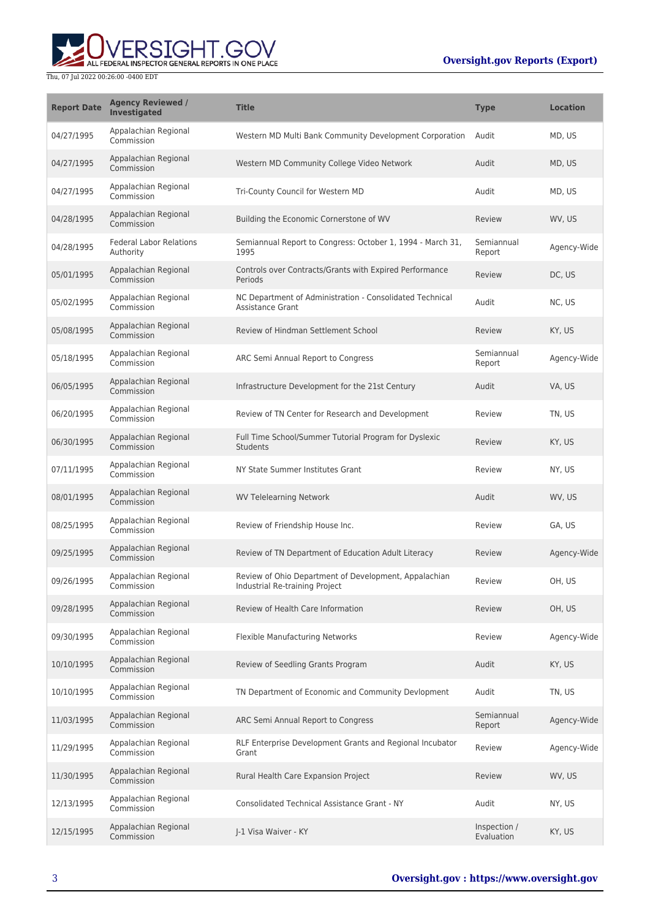## **Oversight.gov Reports (Export)**



| <b>Report Date</b> | <b>Agency Reviewed /</b><br>Investigated    | <b>Title</b>                                                                            | <b>Type</b>                | <b>Location</b> |
|--------------------|---------------------------------------------|-----------------------------------------------------------------------------------------|----------------------------|-----------------|
| 04/27/1995         | Appalachian Regional<br>Commission          | Western MD Multi Bank Community Development Corporation                                 | Audit                      | MD, US          |
| 04/27/1995         | Appalachian Regional<br>Commission          | Western MD Community College Video Network                                              | Audit                      | MD, US          |
| 04/27/1995         | Appalachian Regional<br>Commission          | Tri-County Council for Western MD                                                       | Audit                      | MD, US          |
| 04/28/1995         | Appalachian Regional<br>Commission          | Building the Economic Cornerstone of WV                                                 | Review                     | WV, US          |
| 04/28/1995         | <b>Federal Labor Relations</b><br>Authority | Semiannual Report to Congress: October 1, 1994 - March 31,<br>1995                      | Semiannual<br>Report       | Agency-Wide     |
| 05/01/1995         | Appalachian Regional<br>Commission          | Controls over Contracts/Grants with Expired Performance<br>Periods                      | Review                     | DC, US          |
| 05/02/1995         | Appalachian Regional<br>Commission          | NC Department of Administration - Consolidated Technical<br><b>Assistance Grant</b>     | Audit                      | NC, US          |
| 05/08/1995         | Appalachian Regional<br>Commission          | Review of Hindman Settlement School                                                     | Review                     | KY, US          |
| 05/18/1995         | Appalachian Regional<br>Commission          | ARC Semi Annual Report to Congress                                                      | Semiannual<br>Report       | Agency-Wide     |
| 06/05/1995         | Appalachian Regional<br>Commission          | Infrastructure Development for the 21st Century                                         | Audit                      | VA, US          |
| 06/20/1995         | Appalachian Regional<br>Commission          | Review of TN Center for Research and Development                                        | Review                     | TN. US          |
| 06/30/1995         | Appalachian Regional<br>Commission          | Full Time School/Summer Tutorial Program for Dyslexic<br>Students                       | Review                     | KY, US          |
| 07/11/1995         | Appalachian Regional<br>Commission          | NY State Summer Institutes Grant                                                        | Review                     | NY, US          |
| 08/01/1995         | Appalachian Regional<br>Commission          | <b>WV Telelearning Network</b>                                                          | Audit                      | WV, US          |
| 08/25/1995         | Appalachian Regional<br>Commission          | Review of Friendship House Inc.                                                         | Review                     | GA, US          |
| 09/25/1995         | Appalachian Regional<br>Commission          | Review of TN Department of Education Adult Literacy                                     | Review                     | Agency-Wide     |
| 09/26/1995         | Appalachian Regional<br>Commission          | Review of Ohio Department of Development, Appalachian<br>Industrial Re-training Project | Review                     | OH, US          |
| 09/28/1995         | Appalachian Regional<br>Commission          | Review of Health Care Information                                                       | Review                     | OH, US          |
| 09/30/1995         | Appalachian Regional<br>Commission          | <b>Flexible Manufacturing Networks</b>                                                  | Review                     | Agency-Wide     |
| 10/10/1995         | Appalachian Regional<br>Commission          | Review of Seedling Grants Program                                                       | Audit                      | KY, US          |
| 10/10/1995         | Appalachian Regional<br>Commission          | TN Department of Economic and Community Devlopment                                      | Audit                      | TN, US          |
| 11/03/1995         | Appalachian Regional<br>Commission          | ARC Semi Annual Report to Congress                                                      | Semiannual<br>Report       | Agency-Wide     |
| 11/29/1995         | Appalachian Regional<br>Commission          | RLF Enterprise Development Grants and Regional Incubator<br>Grant                       | Review                     | Agency-Wide     |
| 11/30/1995         | Appalachian Regional<br>Commission          | Rural Health Care Expansion Project                                                     | Review                     | WV, US          |
| 12/13/1995         | Appalachian Regional<br>Commission          | <b>Consolidated Technical Assistance Grant - NY</b>                                     | Audit                      | NY, US          |
| 12/15/1995         | Appalachian Regional<br>Commission          | J-1 Visa Waiver - KY                                                                    | Inspection /<br>Evaluation | KY, US          |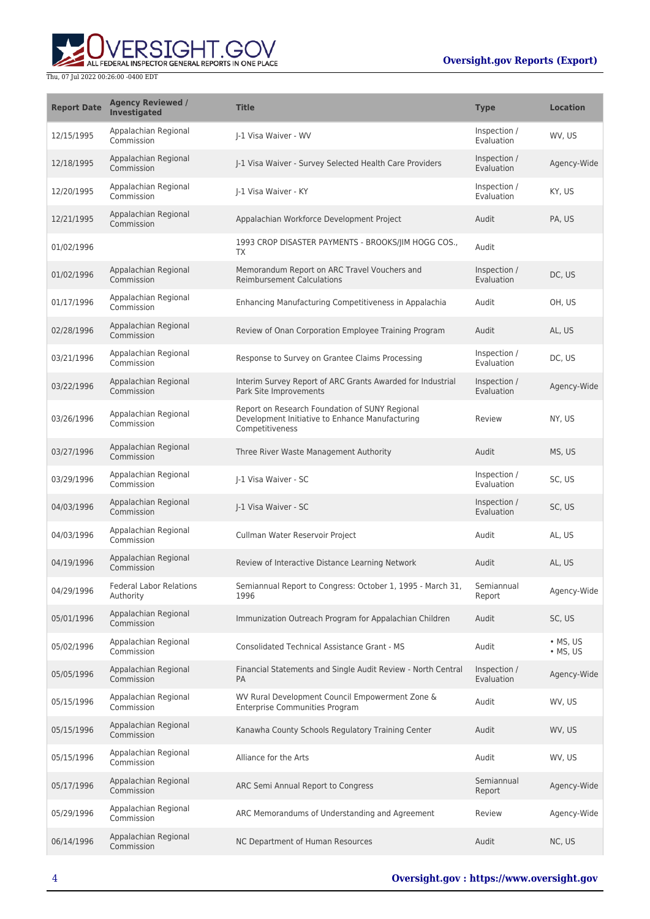

| <b>Report Date</b> | <b>Agency Reviewed /</b><br><b>Investigated</b> | <b>Title</b>                                                                                                         | <b>Type</b>                | <b>Location</b>                    |
|--------------------|-------------------------------------------------|----------------------------------------------------------------------------------------------------------------------|----------------------------|------------------------------------|
| 12/15/1995         | Appalachian Regional<br>Commission              | I-1 Visa Waiver - WV                                                                                                 | Inspection /<br>Evaluation | WV, US                             |
| 12/18/1995         | Appalachian Regional<br>Commission              | I-1 Visa Waiver - Survey Selected Health Care Providers                                                              | Inspection /<br>Evaluation | Agency-Wide                        |
| 12/20/1995         | Appalachian Regional<br>Commission              | I-1 Visa Waiver - KY                                                                                                 | Inspection /<br>Evaluation | KY, US                             |
| 12/21/1995         | Appalachian Regional<br>Commission              | Appalachian Workforce Development Project                                                                            | Audit                      | PA, US                             |
| 01/02/1996         |                                                 | 1993 CROP DISASTER PAYMENTS - BROOKS/JIM HOGG COS.,<br>TX                                                            | Audit                      |                                    |
| 01/02/1996         | Appalachian Regional<br>Commission              | Memorandum Report on ARC Travel Vouchers and<br><b>Reimbursement Calculations</b>                                    | Inspection /<br>Evaluation | DC, US                             |
| 01/17/1996         | Appalachian Regional<br>Commission              | Enhancing Manufacturing Competitiveness in Appalachia                                                                | Audit                      | OH, US                             |
| 02/28/1996         | Appalachian Regional<br>Commission              | Review of Onan Corporation Employee Training Program                                                                 | Audit                      | AL, US                             |
| 03/21/1996         | Appalachian Regional<br>Commission              | Response to Survey on Grantee Claims Processing                                                                      | Inspection /<br>Evaluation | DC, US                             |
| 03/22/1996         | Appalachian Regional<br>Commission              | Interim Survey Report of ARC Grants Awarded for Industrial<br>Park Site Improvements                                 | Inspection /<br>Evaluation | Agency-Wide                        |
| 03/26/1996         | Appalachian Regional<br>Commission              | Report on Research Foundation of SUNY Regional<br>Development Initiative to Enhance Manufacturing<br>Competitiveness | Review                     | NY, US                             |
| 03/27/1996         | Appalachian Regional<br>Commission              | Three River Waste Management Authority                                                                               | Audit                      | MS, US                             |
| 03/29/1996         | Appalachian Regional<br>Commission              | I-1 Visa Waiver - SC                                                                                                 | Inspection /<br>Evaluation | SC, US                             |
| 04/03/1996         | Appalachian Regional<br>Commission              | J-1 Visa Waiver - SC                                                                                                 | Inspection /<br>Evaluation | SC, US                             |
| 04/03/1996         | Appalachian Regional<br>Commission              | Cullman Water Reservoir Project                                                                                      | Audit                      | AL, US                             |
| 04/19/1996         | Appalachian Regional<br>Commission              | Review of Interactive Distance Learning Network                                                                      | Audit                      | AL, US                             |
| 04/29/1996         | <b>Federal Labor Relations</b><br>Authority     | Semiannual Report to Congress: October 1, 1995 - March 31,<br>1996                                                   | Semiannual<br>Report       | Agency-Wide                        |
| 05/01/1996         | Appalachian Regional<br>Commission              | Immunization Outreach Program for Appalachian Children                                                               | Audit                      | SC, US                             |
| 05/02/1996         | Appalachian Regional<br>Commission              | <b>Consolidated Technical Assistance Grant - MS</b>                                                                  | Audit                      | $\bullet$ MS, US<br>$\cdot$ MS, US |
| 05/05/1996         | Appalachian Regional<br>Commission              | Financial Statements and Single Audit Review - North Central<br><b>PA</b>                                            | Inspection /<br>Evaluation | Agency-Wide                        |
| 05/15/1996         | Appalachian Regional<br>Commission              | WV Rural Development Council Empowerment Zone &<br><b>Enterprise Communities Program</b>                             | Audit                      | WV, US                             |
| 05/15/1996         | Appalachian Regional<br>Commission              | Kanawha County Schools Regulatory Training Center                                                                    | Audit                      | WV, US                             |
| 05/15/1996         | Appalachian Regional<br>Commission              | Alliance for the Arts                                                                                                | Audit                      | WV, US                             |
| 05/17/1996         | Appalachian Regional<br>Commission              | ARC Semi Annual Report to Congress                                                                                   | Semiannual<br>Report       | Agency-Wide                        |
| 05/29/1996         | Appalachian Regional<br>Commission              | ARC Memorandums of Understanding and Agreement                                                                       | Review                     | Agency-Wide                        |
| 06/14/1996         | Appalachian Regional<br>Commission              | NC Department of Human Resources                                                                                     | Audit                      | NC, US                             |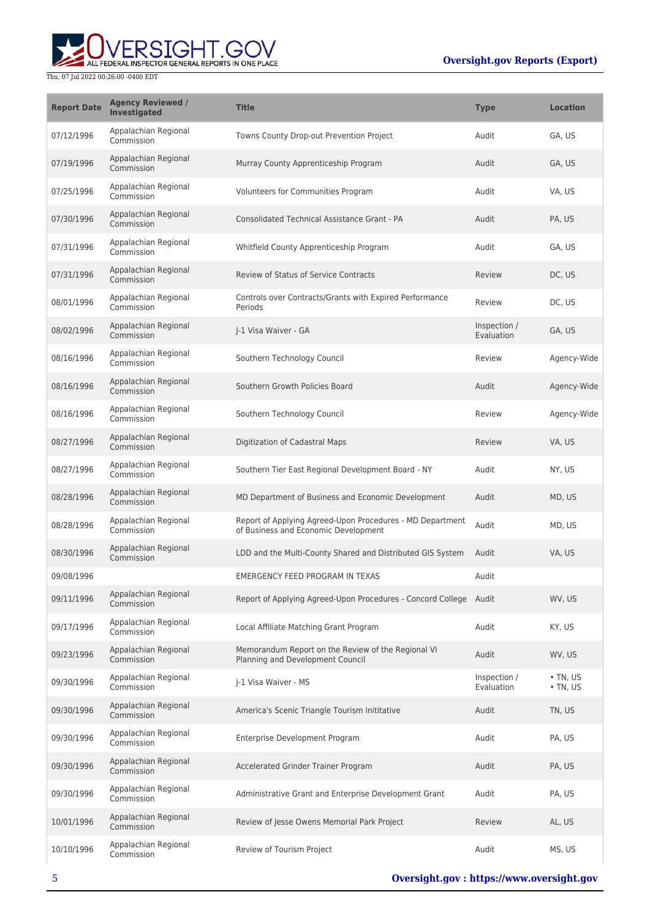

| <b>Report Date</b> | <b>Agency Reviewed /</b><br>Investigated | <b>Title</b>                                                                                      | <b>Type</b>                | <b>Location</b>                  |
|--------------------|------------------------------------------|---------------------------------------------------------------------------------------------------|----------------------------|----------------------------------|
| 07/12/1996         | Appalachian Regional<br>Commission       | Towns County Drop-out Prevention Project                                                          | Audit                      | GA, US                           |
| 07/19/1996         | Appalachian Regional<br>Commission       | Murray County Apprenticeship Program                                                              | Audit                      | GA, US                           |
| 07/25/1996         | Appalachian Regional<br>Commission       | Volunteers for Communities Program                                                                | Audit                      | VA, US                           |
| 07/30/1996         | Appalachian Regional<br>Commission       | Consolidated Technical Assistance Grant - PA                                                      | Audit                      | PA, US                           |
| 07/31/1996         | Appalachian Regional<br>Commission       | Whitfield County Apprenticeship Program                                                           | Audit                      | GA, US                           |
| 07/31/1996         | Appalachian Regional<br>Commission       | <b>Review of Status of Service Contracts</b>                                                      | Review                     | DC, US                           |
| 08/01/1996         | Appalachian Regional<br>Commission       | Controls over Contracts/Grants with Expired Performance<br>Periods                                | Review                     | DC, US                           |
| 08/02/1996         | Appalachian Regional<br>Commission       | I-1 Visa Waiver - GA                                                                              | Inspection /<br>Evaluation | GA, US                           |
| 08/16/1996         | Appalachian Regional<br>Commission       | Southern Technology Council                                                                       | Review                     | Agency-Wide                      |
| 08/16/1996         | Appalachian Regional<br>Commission       | Southern Growth Policies Board                                                                    | Audit                      | Agency-Wide                      |
| 08/16/1996         | Appalachian Regional<br>Commission       | Southern Technology Council                                                                       | Review                     | Agency-Wide                      |
| 08/27/1996         | Appalachian Regional<br>Commission       | Digitization of Cadastral Maps                                                                    | Review                     | VA, US                           |
| 08/27/1996         | Appalachian Regional<br>Commission       | Southern Tier East Regional Development Board - NY                                                | Audit                      | NY, US                           |
| 08/28/1996         | Appalachian Regional<br>Commission       | MD Department of Business and Economic Development                                                | Audit                      | MD, US                           |
| 08/28/1996         | Appalachian Regional<br>Commission       | Report of Applying Agreed-Upon Procedures - MD Department<br>of Business and Economic Development | Audit                      | MD, US                           |
| 08/30/1996         | Appalachian Regional<br>Commission       | LDD and the Multi-County Shared and Distributed GIS System                                        | Audit                      | VA, US                           |
| 09/08/1996         |                                          | EMERGENCY FEED PROGRAM IN TEXAS                                                                   | Audit                      |                                  |
| 09/11/1996         | Appalachian Regional<br>Commission       | Report of Applying Agreed-Upon Procedures - Concord College Audit                                 |                            | WV, US                           |
| 09/17/1996         | Appalachian Regional<br>Commission       | Local Affiliate Matching Grant Program                                                            | Audit                      | KY, US                           |
| 09/23/1996         | Appalachian Regional<br>Commission       | Memorandum Report on the Review of the Regional VI<br>Planning and Development Council            | Audit                      | WV, US                           |
| 09/30/1996         | Appalachian Regional<br>Commission       | I-1 Visa Waiver - MS                                                                              | Inspection /<br>Evaluation | $\cdot$ TN, US<br>$\cdot$ TN, US |
| 09/30/1996         | Appalachian Regional<br>Commission       | America's Scenic Triangle Tourism Inititative                                                     | Audit                      | TN, US                           |
| 09/30/1996         | Appalachian Regional<br>Commission       | Enterprise Development Program                                                                    | Audit                      | PA, US                           |
| 09/30/1996         | Appalachian Regional<br>Commission       | Accelerated Grinder Trainer Program                                                               | Audit                      | PA, US                           |
| 09/30/1996         | Appalachian Regional<br>Commission       | Administrative Grant and Enterprise Development Grant                                             | Audit                      | PA, US                           |
| 10/01/1996         | Appalachian Regional<br>Commission       | Review of Jesse Owens Memorial Park Project                                                       | Review                     | AL, US                           |
| 10/10/1996         | Appalachian Regional<br>Commission       | Review of Tourism Project                                                                         | Audit                      | MS, US                           |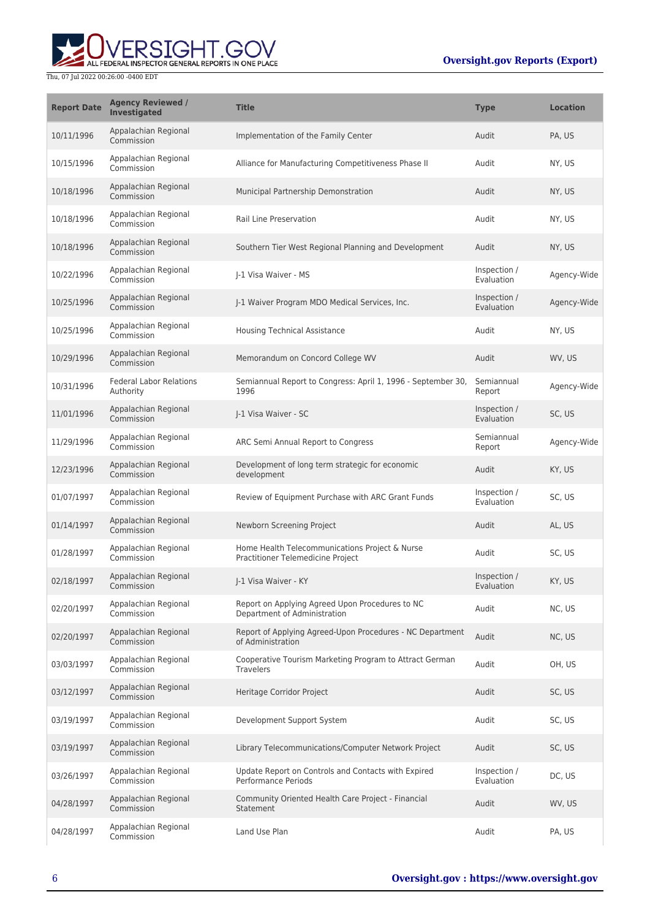

| <b>Report Date</b> | <b>Agency Reviewed /</b><br>Investigated    | <b>Title</b>                                                                        | <b>Type</b>                | <b>Location</b> |
|--------------------|---------------------------------------------|-------------------------------------------------------------------------------------|----------------------------|-----------------|
| 10/11/1996         | Appalachian Regional<br>Commission          | Implementation of the Family Center                                                 | Audit                      | PA, US          |
| 10/15/1996         | Appalachian Regional<br>Commission          | Alliance for Manufacturing Competitiveness Phase II                                 | Audit                      | NY, US          |
| 10/18/1996         | Appalachian Regional<br>Commission          | Municipal Partnership Demonstration                                                 | Audit                      | NY, US          |
| 10/18/1996         | Appalachian Regional<br>Commission          | Rail Line Preservation                                                              | Audit                      | NY, US          |
| 10/18/1996         | Appalachian Regional<br>Commission          | Southern Tier West Regional Planning and Development                                | Audit                      | NY, US          |
| 10/22/1996         | Appalachian Regional<br>Commission          | I-1 Visa Waiver - MS                                                                | Inspection /<br>Evaluation | Agency-Wide     |
| 10/25/1996         | Appalachian Regional<br>Commission          | J-1 Waiver Program MDO Medical Services, Inc.                                       | Inspection /<br>Evaluation | Agency-Wide     |
| 10/25/1996         | Appalachian Regional<br>Commission          | <b>Housing Technical Assistance</b>                                                 | Audit                      | NY, US          |
| 10/29/1996         | Appalachian Regional<br>Commission          | Memorandum on Concord College WV                                                    | Audit                      | WV, US          |
| 10/31/1996         | <b>Federal Labor Relations</b><br>Authority | Semiannual Report to Congress: April 1, 1996 - September 30,<br>1996                | Semiannual<br>Report       | Agency-Wide     |
| 11/01/1996         | Appalachian Regional<br>Commission          | J-1 Visa Waiver - SC                                                                | Inspection /<br>Evaluation | SC, US          |
| 11/29/1996         | Appalachian Regional<br>Commission          | ARC Semi Annual Report to Congress                                                  | Semiannual<br>Report       | Agency-Wide     |
| 12/23/1996         | Appalachian Regional<br>Commission          | Development of long term strategic for economic<br>development                      | Audit                      | KY, US          |
| 01/07/1997         | Appalachian Regional<br>Commission          | Review of Equipment Purchase with ARC Grant Funds                                   | Inspection /<br>Evaluation | SC, US          |
| 01/14/1997         | Appalachian Regional<br>Commission          | Newborn Screening Project                                                           | Audit                      | AL, US          |
| 01/28/1997         | Appalachian Regional<br>Commission          | Home Health Telecommunications Project & Nurse<br>Practitioner Telemedicine Project | Audit                      | SC, US          |
| 02/18/1997         | Appalachian Regional<br>Commission          | J-1 Visa Waiver - KY                                                                | Inspection /<br>Evaluation | KY, US          |
| 02/20/1997         | Appalachian Regional<br>Commission          | Report on Applying Agreed Upon Procedures to NC<br>Department of Administration     | Audit                      | NC, US          |
| 02/20/1997         | Appalachian Regional<br>Commission          | Report of Applying Agreed-Upon Procedures - NC Department<br>of Administration      | Audit                      | NC, US          |
| 03/03/1997         | Appalachian Regional<br>Commission          | Cooperative Tourism Marketing Program to Attract German<br><b>Travelers</b>         | Audit                      | OH, US          |
| 03/12/1997         | Appalachian Regional<br>Commission          | Heritage Corridor Project                                                           | Audit                      | SC, US          |
| 03/19/1997         | Appalachian Regional<br>Commission          | Development Support System                                                          | Audit                      | SC, US          |
| 03/19/1997         | Appalachian Regional<br>Commission          | Library Telecommunications/Computer Network Project                                 | Audit                      | SC, US          |
| 03/26/1997         | Appalachian Regional<br>Commission          | Update Report on Controls and Contacts with Expired<br><b>Performance Periods</b>   | Inspection /<br>Evaluation | DC, US          |
| 04/28/1997         | Appalachian Regional<br>Commission          | Community Oriented Health Care Project - Financial<br>Statement                     | Audit                      | WV, US          |
| 04/28/1997         | Appalachian Regional<br>Commission          | Land Use Plan                                                                       | Audit                      | PA, US          |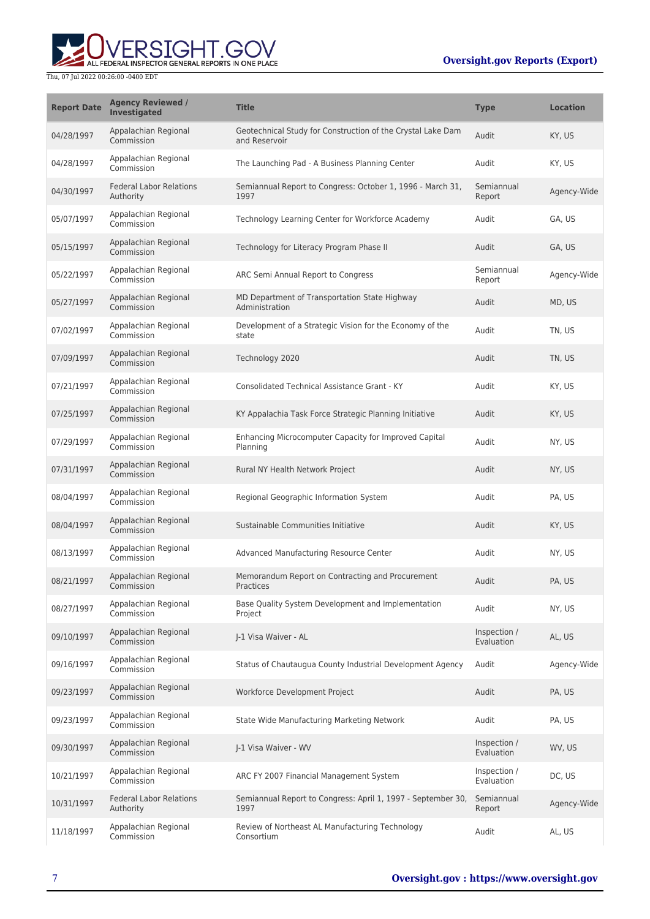# ALL FEDERAL INSPECTOR GENERAL REPORTS IN ONE PLACE Thu, 07 Jul 2022 00:26:00 -0400 EDT

| <b>Report Date</b> | <b>Agency Reviewed /</b><br><b>Investigated</b> | <b>Title</b>                                                                 | <b>Type</b>                | <b>Location</b> |
|--------------------|-------------------------------------------------|------------------------------------------------------------------------------|----------------------------|-----------------|
| 04/28/1997         | Appalachian Regional<br>Commission              | Geotechnical Study for Construction of the Crystal Lake Dam<br>and Reservoir | Audit                      | KY, US          |
| 04/28/1997         | Appalachian Regional<br>Commission              | The Launching Pad - A Business Planning Center                               | Audit                      | KY, US          |
| 04/30/1997         | <b>Federal Labor Relations</b><br>Authority     | Semiannual Report to Congress: October 1, 1996 - March 31,<br>1997           | Semiannual<br>Report       | Agency-Wide     |
| 05/07/1997         | Appalachian Regional<br>Commission              | Technology Learning Center for Workforce Academy                             | Audit                      | GA, US          |
| 05/15/1997         | Appalachian Regional<br>Commission              | Technology for Literacy Program Phase II                                     | Audit                      | GA, US          |
| 05/22/1997         | Appalachian Regional<br>Commission              | ARC Semi Annual Report to Congress                                           | Semiannual<br>Report       | Agency-Wide     |
| 05/27/1997         | Appalachian Regional<br>Commission              | MD Department of Transportation State Highway<br>Administration              | Audit                      | MD, US          |
| 07/02/1997         | Appalachian Regional<br>Commission              | Development of a Strategic Vision for the Economy of the<br>state            | Audit                      | TN, US          |
| 07/09/1997         | Appalachian Regional<br>Commission              | Technology 2020                                                              | Audit                      | TN, US          |
| 07/21/1997         | Appalachian Regional<br>Commission              | Consolidated Technical Assistance Grant - KY                                 | Audit                      | KY, US          |
| 07/25/1997         | Appalachian Regional<br>Commission              | KY Appalachia Task Force Strategic Planning Initiative                       | Audit                      | KY, US          |
| 07/29/1997         | Appalachian Regional<br>Commission              | Enhancing Microcomputer Capacity for Improved Capital<br>Planning            | Audit                      | NY, US          |
| 07/31/1997         | Appalachian Regional<br>Commission              | Rural NY Health Network Project                                              | Audit                      | NY, US          |
| 08/04/1997         | Appalachian Regional<br>Commission              | Regional Geographic Information System                                       | Audit                      | PA, US          |
| 08/04/1997         | Appalachian Regional<br>Commission              | Sustainable Communities Initiative                                           | Audit                      | KY, US          |
| 08/13/1997         | Appalachian Regional<br>Commission              | Advanced Manufacturing Resource Center                                       | Audit                      | NY, US          |
| 08/21/1997         | Appalachian Regional<br>Commission              | Memorandum Report on Contracting and Procurement<br>Practices                | Audit                      | PA, US          |
| 08/27/1997         | Appalachian Regional<br>Commission              | Base Quality System Development and Implementation<br>Project                | Audit                      | NY, US          |
| 09/10/1997         | Appalachian Regional<br>Commission              | J-1 Visa Waiver - AL                                                         | Inspection /<br>Evaluation | AL, US          |
| 09/16/1997         | Appalachian Regional<br>Commission              | Status of Chautaugua County Industrial Development Agency                    | Audit                      | Agency-Wide     |
| 09/23/1997         | Appalachian Regional<br>Commission              | Workforce Development Project                                                | Audit                      | PA, US          |
| 09/23/1997         | Appalachian Regional<br>Commission              | State Wide Manufacturing Marketing Network                                   | Audit                      | PA, US          |
| 09/30/1997         | Appalachian Regional<br>Commission              | J-1 Visa Waiver - WV                                                         | Inspection /<br>Evaluation | WV, US          |
| 10/21/1997         | Appalachian Regional<br>Commission              | ARC FY 2007 Financial Management System                                      | Inspection /<br>Evaluation | DC, US          |
| 10/31/1997         | <b>Federal Labor Relations</b><br>Authority     | Semiannual Report to Congress: April 1, 1997 - September 30,<br>1997         | Semiannual<br>Report       | Agency-Wide     |
| 11/18/1997         | Appalachian Regional<br>Commission              | Review of Northeast AL Manufacturing Technology<br>Consortium                | Audit                      | AL, US          |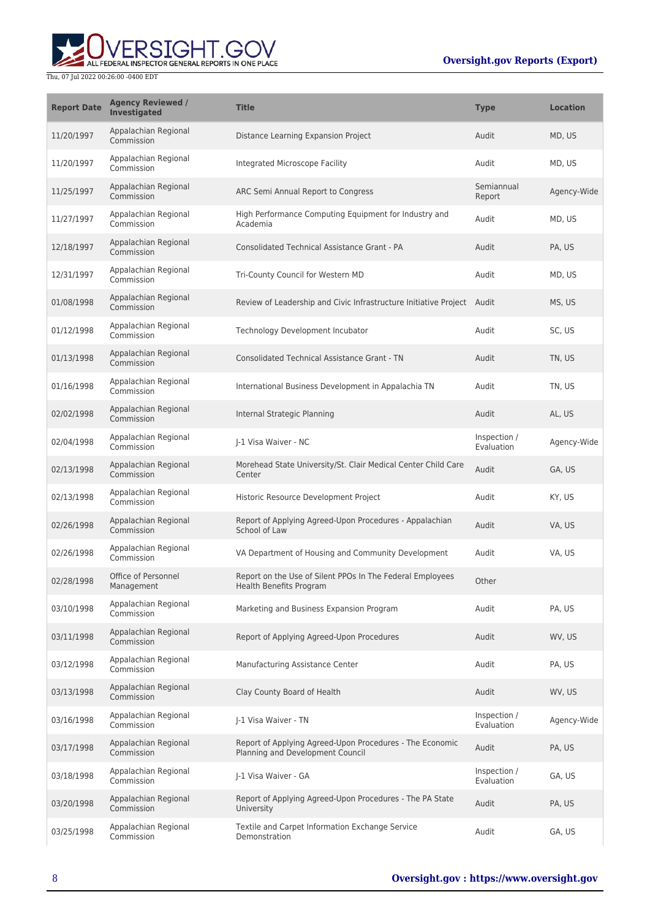

| <b>Report Date</b> | <b>Agency Reviewed /</b><br><b>Investigated</b> | <b>Title</b>                                                                                 | <b>Type</b>                | <b>Location</b> |
|--------------------|-------------------------------------------------|----------------------------------------------------------------------------------------------|----------------------------|-----------------|
| 11/20/1997         | Appalachian Regional<br>Commission              | Distance Learning Expansion Project                                                          | Audit                      | MD, US          |
| 11/20/1997         | Appalachian Regional<br>Commission              | Integrated Microscope Facility                                                               | Audit                      | MD, US          |
| 11/25/1997         | Appalachian Regional<br>Commission              | ARC Semi Annual Report to Congress                                                           | Semiannual<br>Report       | Agency-Wide     |
| 11/27/1997         | Appalachian Regional<br>Commission              | High Performance Computing Equipment for Industry and<br>Academia                            | Audit                      | MD, US          |
| 12/18/1997         | Appalachian Regional<br>Commission              | <b>Consolidated Technical Assistance Grant - PA</b>                                          | Audit                      | PA, US          |
| 12/31/1997         | Appalachian Regional<br>Commission              | Tri-County Council for Western MD                                                            | Audit                      | MD, US          |
| 01/08/1998         | Appalachian Regional<br>Commission              | Review of Leadership and Civic Infrastructure Initiative Project Audit                       |                            | MS, US          |
| 01/12/1998         | Appalachian Regional<br>Commission              | Technology Development Incubator                                                             | Audit                      | SC, US          |
| 01/13/1998         | Appalachian Regional<br>Commission              | <b>Consolidated Technical Assistance Grant - TN</b>                                          | Audit                      | TN, US          |
| 01/16/1998         | Appalachian Regional<br>Commission              | International Business Development in Appalachia TN                                          | Audit                      | TN, US          |
| 02/02/1998         | Appalachian Regional<br>Commission              | Internal Strategic Planning                                                                  | Audit                      | AL, US          |
| 02/04/1998         | Appalachian Regional<br>Commission              | J-1 Visa Waiver - NC                                                                         | Inspection /<br>Evaluation | Agency-Wide     |
| 02/13/1998         | Appalachian Regional<br>Commission              | Morehead State University/St. Clair Medical Center Child Care<br>Center                      | Audit                      | GA, US          |
| 02/13/1998         | Appalachian Regional<br>Commission              | Historic Resource Development Project                                                        | Audit                      | KY, US          |
| 02/26/1998         | Appalachian Regional<br>Commission              | Report of Applying Agreed-Upon Procedures - Appalachian<br>School of Law                     | Audit                      | VA, US          |
| 02/26/1998         | Appalachian Regional<br>Commission              | VA Department of Housing and Community Development                                           | Audit                      | VA, US          |
| 02/28/1998         | Office of Personnel<br>Management               | Report on the Use of Silent PPOs In The Federal Employees<br><b>Health Benefits Program</b>  | Other                      |                 |
| 03/10/1998         | Appalachian Regional<br>Commission              | Marketing and Business Expansion Program                                                     | Audit                      | PA. US          |
| 03/11/1998         | Appalachian Regional<br>Commission              | Report of Applying Agreed-Upon Procedures                                                    | Audit                      | WV, US          |
| 03/12/1998         | Appalachian Regional<br>Commission              | Manufacturing Assistance Center                                                              | Audit                      | PA, US          |
| 03/13/1998         | Appalachian Regional<br>Commission              | Clay County Board of Health                                                                  | Audit                      | WV, US          |
| 03/16/1998         | Appalachian Regional<br>Commission              | J-1 Visa Waiver - TN                                                                         | Inspection /<br>Evaluation | Agency-Wide     |
| 03/17/1998         | Appalachian Regional<br>Commission              | Report of Applying Agreed-Upon Procedures - The Economic<br>Planning and Development Council | Audit                      | PA, US          |
| 03/18/1998         | Appalachian Regional<br>Commission              | J-1 Visa Waiver - GA                                                                         | Inspection /<br>Evaluation | GA, US          |
| 03/20/1998         | Appalachian Regional<br>Commission              | Report of Applying Agreed-Upon Procedures - The PA State<br>University                       | Audit                      | PA, US          |
| 03/25/1998         | Appalachian Regional<br>Commission              | Textile and Carpet Information Exchange Service<br>Demonstration                             | Audit                      | GA, US          |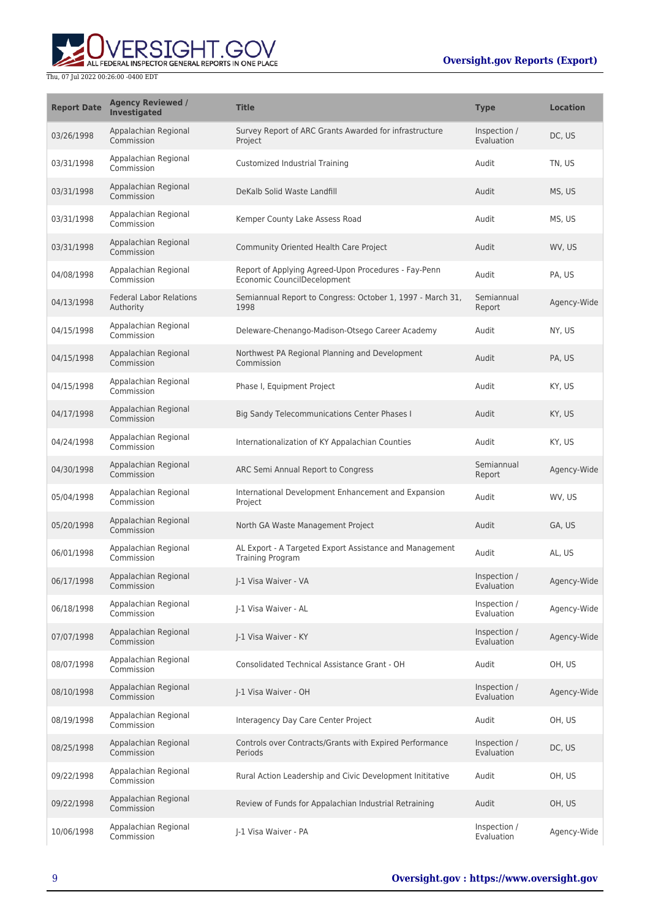

| <b>Report Date</b> | <b>Agency Reviewed /</b><br><b>Investigated</b> | <b>Title</b>                                                                        | <b>Type</b>                | <b>Location</b> |
|--------------------|-------------------------------------------------|-------------------------------------------------------------------------------------|----------------------------|-----------------|
| 03/26/1998         | Appalachian Regional<br>Commission              | Survey Report of ARC Grants Awarded for infrastructure<br>Project                   | Inspection /<br>Evaluation | DC, US          |
| 03/31/1998         | Appalachian Regional<br>Commission              | Customized Industrial Training                                                      | Audit                      | TN, US          |
| 03/31/1998         | Appalachian Regional<br>Commission              | DeKalb Solid Waste Landfill                                                         | Audit                      | MS, US          |
| 03/31/1998         | Appalachian Regional<br>Commission              | Kemper County Lake Assess Road                                                      | Audit                      | MS, US          |
| 03/31/1998         | Appalachian Regional<br>Commission              | Community Oriented Health Care Project                                              | Audit                      | WV, US          |
| 04/08/1998         | Appalachian Regional<br>Commission              | Report of Applying Agreed-Upon Procedures - Fay-Penn<br>Economic CouncilDecelopment | Audit                      | PA, US          |
| 04/13/1998         | <b>Federal Labor Relations</b><br>Authority     | Semiannual Report to Congress: October 1, 1997 - March 31,<br>1998                  | Semiannual<br>Report       | Agency-Wide     |
| 04/15/1998         | Appalachian Regional<br>Commission              | Deleware-Chenango-Madison-Otsego Career Academy                                     | Audit                      | NY, US          |
| 04/15/1998         | Appalachian Regional<br>Commission              | Northwest PA Regional Planning and Development<br>Commission                        | Audit                      | PA, US          |
| 04/15/1998         | Appalachian Regional<br>Commission              | Phase I, Equipment Project                                                          | Audit                      | KY, US          |
| 04/17/1998         | Appalachian Regional<br>Commission              | <b>Big Sandy Telecommunications Center Phases I</b>                                 | Audit                      | KY, US          |
| 04/24/1998         | Appalachian Regional<br>Commission              | Internationalization of KY Appalachian Counties                                     | Audit                      | KY, US          |
| 04/30/1998         | Appalachian Regional<br>Commission              | ARC Semi Annual Report to Congress                                                  | Semiannual<br>Report       | Agency-Wide     |
| 05/04/1998         | Appalachian Regional<br>Commission              | International Development Enhancement and Expansion<br>Project                      | Audit                      | WV, US          |
| 05/20/1998         | Appalachian Regional<br>Commission              | North GA Waste Management Project                                                   | Audit                      | GA, US          |
| 06/01/1998         | Appalachian Regional<br>Commission              | AL Export - A Targeted Export Assistance and Management<br>Training Program         | Audit                      | AL, US          |
| 06/17/1998         | Appalachian Regional<br>Commission              | I-1 Visa Waiver - VA                                                                | Inspection /<br>Evaluation | Agency-Wide     |
| 06/18/1998         | Appalachian Regional<br>Commission              | J-1 Visa Waiver - AL                                                                | Inspection /<br>Evaluation | Agency-Wide     |
| 07/07/1998         | Appalachian Regional<br>Commission              | J-1 Visa Waiver - KY                                                                | Inspection /<br>Evaluation | Agency-Wide     |
| 08/07/1998         | Appalachian Regional<br>Commission              | Consolidated Technical Assistance Grant - OH                                        | Audit                      | OH, US          |
| 08/10/1998         | Appalachian Regional<br>Commission              | J-1 Visa Waiver - OH                                                                | Inspection /<br>Evaluation | Agency-Wide     |
| 08/19/1998         | Appalachian Regional<br>Commission              | Interagency Day Care Center Project                                                 | Audit                      | OH, US          |
| 08/25/1998         | Appalachian Regional<br>Commission              | Controls over Contracts/Grants with Expired Performance<br>Periods                  | Inspection /<br>Evaluation | DC, US          |
| 09/22/1998         | Appalachian Regional<br>Commission              | Rural Action Leadership and Civic Development Inititative                           | Audit                      | OH, US          |
| 09/22/1998         | Appalachian Regional<br>Commission              | Review of Funds for Appalachian Industrial Retraining                               | Audit                      | OH, US          |
| 10/06/1998         | Appalachian Regional<br>Commission              | J-1 Visa Waiver - PA                                                                | Inspection /<br>Evaluation | Agency-Wide     |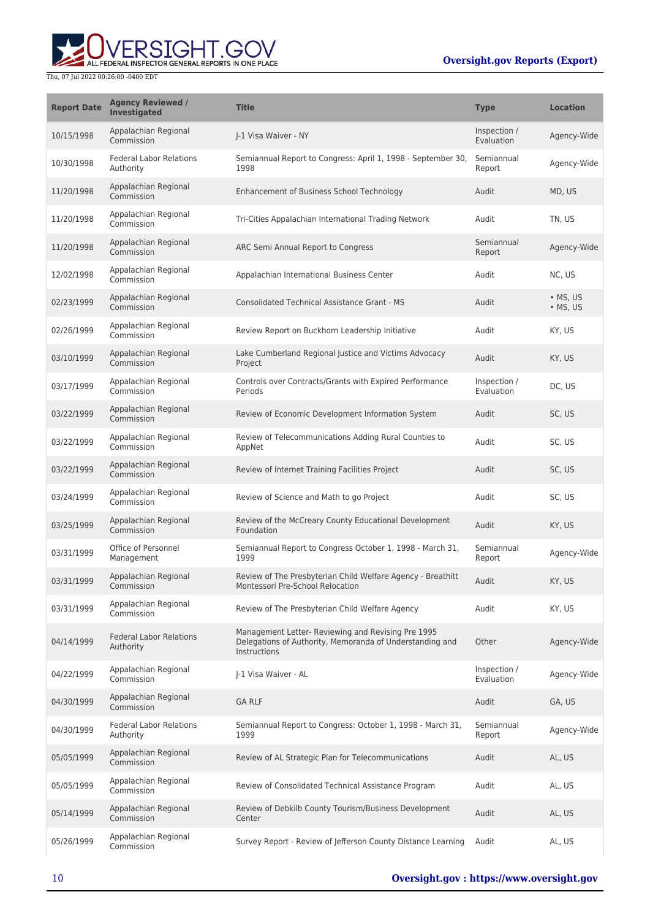# **WERSIGHT.GOV**

| <b>Report Date</b> | <b>Agency Reviewed /</b><br><b>Investigated</b> | <b>Title</b>                                                                                                                   | <b>Type</b>                | <b>Location</b>              |
|--------------------|-------------------------------------------------|--------------------------------------------------------------------------------------------------------------------------------|----------------------------|------------------------------|
| 10/15/1998         | Appalachian Regional<br>Commission              | I-1 Visa Waiver - NY                                                                                                           | Inspection /<br>Evaluation | Agency-Wide                  |
| 10/30/1998         | <b>Federal Labor Relations</b><br>Authority     | Semiannual Report to Congress: April 1, 1998 - September 30,<br>1998                                                           | Semiannual<br>Report       | Agency-Wide                  |
| 11/20/1998         | Appalachian Regional<br>Commission              | Enhancement of Business School Technology                                                                                      | Audit                      | MD, US                       |
| 11/20/1998         | Appalachian Regional<br>Commission              | Tri-Cities Appalachian International Trading Network                                                                           | Audit                      | TN, US                       |
| 11/20/1998         | Appalachian Regional<br>Commission              | ARC Semi Annual Report to Congress                                                                                             | Semiannual<br>Report       | Agency-Wide                  |
| 12/02/1998         | Appalachian Regional<br>Commission              | Appalachian International Business Center                                                                                      | Audit                      | NC, US                       |
| 02/23/1999         | Appalachian Regional<br>Commission              | <b>Consolidated Technical Assistance Grant - MS</b>                                                                            | Audit                      | $\bullet$ MS, US<br>• MS, US |
| 02/26/1999         | Appalachian Regional<br>Commission              | Review Report on Buckhorn Leadership Initiative                                                                                | Audit                      | KY, US                       |
| 03/10/1999         | Appalachian Regional<br>Commission              | Lake Cumberland Regional Justice and Victims Advocacy<br>Project                                                               | Audit                      | KY, US                       |
| 03/17/1999         | Appalachian Regional<br>Commission              | Controls over Contracts/Grants with Expired Performance<br>Periods                                                             | Inspection /<br>Evaluation | DC, US                       |
| 03/22/1999         | Appalachian Regional<br>Commission              | Review of Economic Development Information System                                                                              | Audit                      | SC, US                       |
| 03/22/1999         | Appalachian Regional<br>Commission              | Review of Telecommunications Adding Rural Counties to<br>AppNet                                                                | Audit                      | SC, US                       |
| 03/22/1999         | Appalachian Regional<br>Commission              | Review of Internet Training Facilities Project                                                                                 | Audit                      | SC, US                       |
| 03/24/1999         | Appalachian Regional<br>Commission              | Review of Science and Math to go Project                                                                                       | Audit                      | SC, US                       |
| 03/25/1999         | Appalachian Regional<br>Commission              | Review of the McCreary County Educational Development<br>Foundation                                                            | Audit                      | KY, US                       |
| 03/31/1999         | Office of Personnel<br>Management               | Semiannual Report to Congress October 1, 1998 - March 31,<br>1999                                                              | Semiannual<br>Report       | Agency-Wide                  |
| 03/31/1999         | Appalachian Regional<br>Commission              | Review of The Presbyterian Child Welfare Agency - Breathitt<br>Montessori Pre-School Relocation                                | Audit                      | KY, US                       |
| 03/31/1999         | Appalachian Regional<br>Commission              | Review of The Presbyterian Child Welfare Agency                                                                                | Audit                      | KY, US                       |
| 04/14/1999         | <b>Federal Labor Relations</b><br>Authority     | Management Letter- Reviewing and Revising Pre 1995<br>Delegations of Authority, Memoranda of Understanding and<br>Instructions | Other                      | Agency-Wide                  |
| 04/22/1999         | Appalachian Regional<br>Commission              | J-1 Visa Waiver - AL                                                                                                           | Inspection /<br>Evaluation | Agency-Wide                  |
| 04/30/1999         | Appalachian Regional<br>Commission              | <b>GA RLF</b>                                                                                                                  | Audit                      | GA, US                       |
| 04/30/1999         | <b>Federal Labor Relations</b><br>Authority     | Semiannual Report to Congress: October 1, 1998 - March 31,<br>1999                                                             | Semiannual<br>Report       | Agency-Wide                  |
| 05/05/1999         | Appalachian Regional<br>Commission              | Review of AL Strategic Plan for Telecommunications                                                                             | Audit                      | AL, US                       |
| 05/05/1999         | Appalachian Regional<br>Commission              | Review of Consolidated Technical Assistance Program                                                                            | Audit                      | AL, US                       |
| 05/14/1999         | Appalachian Regional<br>Commission              | Review of Debkilb County Tourism/Business Development<br>Center                                                                | Audit                      | AL, US                       |
| 05/26/1999         | Appalachian Regional<br>Commission              | Survey Report - Review of Jefferson County Distance Learning                                                                   | Audit                      | AL, US                       |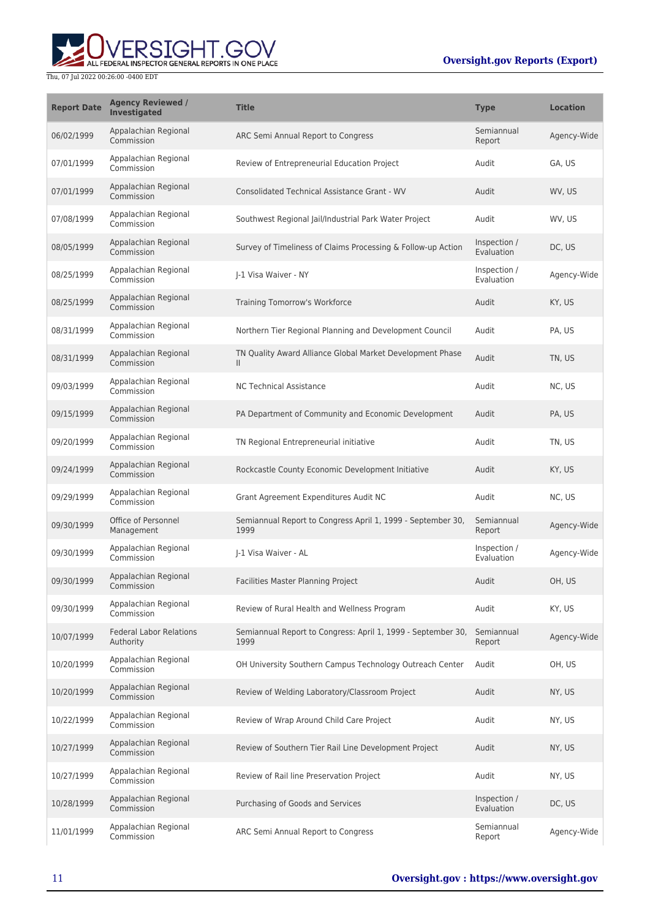

| <b>Report Date</b> | <b>Agency Reviewed /</b><br>Investigated    | <b>Title</b>                                                              | <b>Type</b>                | <b>Location</b> |
|--------------------|---------------------------------------------|---------------------------------------------------------------------------|----------------------------|-----------------|
| 06/02/1999         | Appalachian Regional<br>Commission          | ARC Semi Annual Report to Congress                                        | Semiannual<br>Report       | Agency-Wide     |
| 07/01/1999         | Appalachian Regional<br>Commission          | Review of Entrepreneurial Education Project                               | Audit                      | GA. US          |
| 07/01/1999         | Appalachian Regional<br>Commission          | Consolidated Technical Assistance Grant - WV                              | Audit                      | WV, US          |
| 07/08/1999         | Appalachian Regional<br>Commission          | Southwest Regional Jail/Industrial Park Water Project                     | Audit                      | WV, US          |
| 08/05/1999         | Appalachian Regional<br>Commission          | Survey of Timeliness of Claims Processing & Follow-up Action              | Inspection /<br>Evaluation | DC, US          |
| 08/25/1999         | Appalachian Regional<br>Commission          | I-1 Visa Waiver - NY                                                      | Inspection /<br>Evaluation | Agency-Wide     |
| 08/25/1999         | Appalachian Regional<br>Commission          | Training Tomorrow's Workforce                                             | Audit                      | KY, US          |
| 08/31/1999         | Appalachian Regional<br>Commission          | Northern Tier Regional Planning and Development Council                   | Audit                      | PA, US          |
| 08/31/1999         | Appalachian Regional<br>Commission          | TN Quality Award Alliance Global Market Development Phase<br>$\mathbf{H}$ | Audit                      | TN, US          |
| 09/03/1999         | Appalachian Regional<br>Commission          | <b>NC Technical Assistance</b>                                            | Audit                      | NC, US          |
| 09/15/1999         | Appalachian Regional<br>Commission          | PA Department of Community and Economic Development                       | Audit                      | PA, US          |
| 09/20/1999         | Appalachian Regional<br>Commission          | TN Regional Entrepreneurial initiative                                    | Audit                      | TN, US          |
| 09/24/1999         | Appalachian Regional<br>Commission          | Rockcastle County Economic Development Initiative                         | Audit                      | KY, US          |
| 09/29/1999         | Appalachian Regional<br>Commission          | Grant Agreement Expenditures Audit NC                                     | Audit                      | NC, US          |
| 09/30/1999         | Office of Personnel<br>Management           | Semiannual Report to Congress April 1, 1999 - September 30,<br>1999       | Semiannual<br>Report       | Agency-Wide     |
| 09/30/1999         | Appalachian Regional<br>Commission          | I-1 Visa Waiver - AL                                                      | Inspection /<br>Evaluation | Agency-Wide     |
| 09/30/1999         | Appalachian Regional<br>Commission          | Facilities Master Planning Project                                        | Audit                      | OH, US          |
| 09/30/1999         | Appalachian Regional<br>Commission          | Review of Rural Health and Wellness Program                               | Audit                      | KY, US          |
| 10/07/1999         | <b>Federal Labor Relations</b><br>Authority | Semiannual Report to Congress: April 1, 1999 - September 30,<br>1999      | Semiannual<br>Report       | Agency-Wide     |
| 10/20/1999         | Appalachian Regional<br>Commission          | OH University Southern Campus Technology Outreach Center                  | Audit                      | OH, US          |
| 10/20/1999         | Appalachian Regional<br>Commission          | Review of Welding Laboratory/Classroom Project                            | Audit                      | NY, US          |
| 10/22/1999         | Appalachian Regional<br>Commission          | Review of Wrap Around Child Care Project                                  | Audit                      | NY, US          |
| 10/27/1999         | Appalachian Regional<br>Commission          | Review of Southern Tier Rail Line Development Project                     | Audit                      | NY, US          |
| 10/27/1999         | Appalachian Regional<br>Commission          | Review of Rail line Preservation Project                                  | Audit                      | NY, US          |
| 10/28/1999         | Appalachian Regional<br>Commission          | Purchasing of Goods and Services                                          | Inspection /<br>Evaluation | DC, US          |
| 11/01/1999         | Appalachian Regional<br>Commission          | ARC Semi Annual Report to Congress                                        | Semiannual<br>Report       | Agency-Wide     |